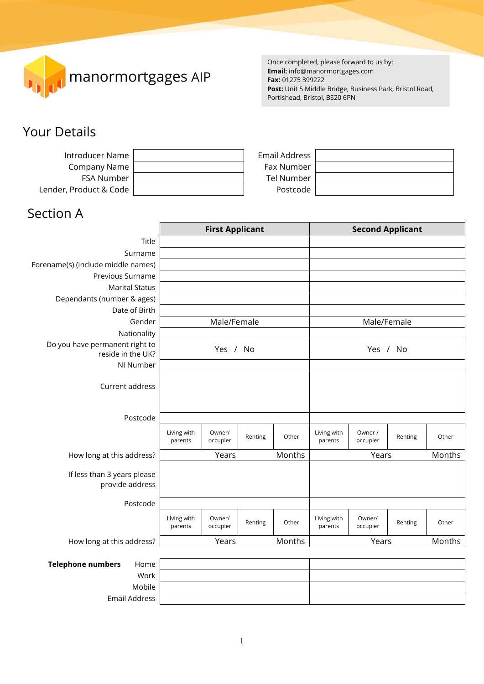

Once completed, please forward to us by: **Email:** info@manormortgages.com **Fax:** 01275 399222 **Post:** Unit 5 Middle Bridge, Business Park, Bristol Road, Portishead, Bristol, BS20 6PN

# Your Details

| Introducer Name        | Email Address |  |
|------------------------|---------------|--|
| Company Name           | Fax Number    |  |
| FSA Number             | Tel Number    |  |
| Lender, Product & Code | Postcode      |  |

# Section A

|                                                |                        | <b>First Applicant</b> |         |        |                        | <b>Second Applicant</b> |         |        |
|------------------------------------------------|------------------------|------------------------|---------|--------|------------------------|-------------------------|---------|--------|
| Title                                          |                        |                        |         |        |                        |                         |         |        |
| Surname                                        |                        |                        |         |        |                        |                         |         |        |
| Forename(s) (include middle names)             |                        |                        |         |        |                        |                         |         |        |
| Previous Surname                               |                        |                        |         |        |                        |                         |         |        |
| <b>Marital Status</b>                          |                        |                        |         |        |                        |                         |         |        |
| Dependants (number & ages)                     |                        |                        |         |        |                        |                         |         |        |
| Date of Birth                                  |                        |                        |         |        |                        |                         |         |        |
| Gender                                         |                        | Male/Female            |         |        |                        | Male/Female             |         |        |
| Nationality                                    |                        |                        |         |        |                        |                         |         |        |
| Do you have permanent right to                 |                        | Yes / No               |         |        |                        | Yes / No                |         |        |
| reside in the UK?                              |                        |                        |         |        |                        |                         |         |        |
| NI Number                                      |                        |                        |         |        |                        |                         |         |        |
| Current address                                |                        |                        |         |        |                        |                         |         |        |
|                                                |                        |                        |         |        |                        |                         |         |        |
| Postcode                                       |                        |                        |         |        |                        |                         |         |        |
|                                                | Living with<br>parents | Owner/<br>occupier     | Renting | Other  | Living with<br>parents | Owner /<br>occupier     | Renting | Other  |
| How long at this address?                      |                        | Years                  |         | Months |                        | Years                   |         | Months |
| If less than 3 years please<br>provide address |                        |                        |         |        |                        |                         |         |        |
| Postcode                                       |                        |                        |         |        |                        |                         |         |        |
|                                                | Living with<br>parents | Owner/<br>occupier     | Renting | Other  | Living with<br>parents | Owner/<br>occupier      | Renting | Other  |
| How long at this address?                      |                        | Years                  |         | Months |                        | Years                   |         | Months |
|                                                |                        |                        |         |        |                        |                         |         |        |
| <b>Telephone numbers</b><br>Home               |                        |                        |         |        |                        |                         |         |        |
| Work                                           |                        |                        |         |        |                        |                         |         |        |

| epnone numbers<br>Home |  |
|------------------------|--|
| Work                   |  |
| Mobile                 |  |
| Email Address          |  |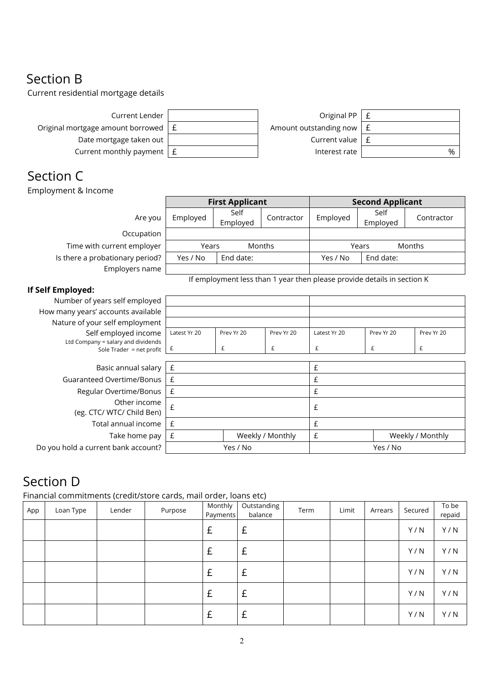# Section B

Current residential mortgage details

| Current Lender                                  | Original PP $\vert$ £           |   |
|-------------------------------------------------|---------------------------------|---|
| Original mortgage amount borrowed $\vert$ $\pm$ | Amount outstanding now $\mid$ £ |   |
| Date mortgage taken out                         | Current value $\vert$ £         |   |
| Current monthly payment $\mid$ £                | Interest rate                   | % |

# Section C

Employment & Income

|                                                                  | <b>First Applicant</b> |                  |                  |                                                                         | <b>Second Applicant</b> |                  |
|------------------------------------------------------------------|------------------------|------------------|------------------|-------------------------------------------------------------------------|-------------------------|------------------|
| Are you                                                          | Employed               | Self<br>Employed | Contractor       | Employed                                                                | Self<br>Employed        | Contractor       |
| Occupation                                                       |                        |                  |                  |                                                                         |                         |                  |
| Time with current employer                                       | Years                  |                  | Months           |                                                                         | Years                   | Months           |
| Is there a probationary period?                                  | Yes / No               | End date:        |                  | Yes / No                                                                | End date:               |                  |
| Employers name                                                   |                        |                  |                  |                                                                         |                         |                  |
|                                                                  |                        |                  |                  | If employment less than 1 year then please provide details in section K |                         |                  |
| If Self Employed:                                                |                        |                  |                  |                                                                         |                         |                  |
| Number of years self employed                                    |                        |                  |                  |                                                                         |                         |                  |
| How many years' accounts available                               |                        |                  |                  |                                                                         |                         |                  |
| Nature of your self employment                                   |                        |                  |                  |                                                                         |                         |                  |
| Self employed income                                             | Latest Yr 20           | Prev Yr 20       | Prev Yr 20       | Latest Yr 20                                                            | Prev Yr 20              | Prev Yr 20       |
| Ltd Company = salary and dividends<br>Sole Trader = $net$ profit | $\pounds$              | £                | £                | £                                                                       | £                       | £                |
|                                                                  |                        |                  |                  |                                                                         |                         |                  |
| Basic annual salary                                              | £                      |                  |                  | £                                                                       |                         |                  |
| Guaranteed Overtime/Bonus                                        | £                      |                  |                  | £                                                                       |                         |                  |
| Regular Overtime/Bonus                                           | £                      |                  |                  | £                                                                       |                         |                  |
| Other income<br>(eg. CTC/ WTC/ Child Ben)                        | £                      |                  |                  | £                                                                       |                         |                  |
| Total annual income                                              | £                      |                  |                  | £                                                                       |                         |                  |
| Take home pay                                                    | $\pounds$              |                  | Weekly / Monthly | £                                                                       |                         | Weekly / Monthly |

Do you hold a current bank account? Yes / No Yes / No Yes / No

# Section D

Financial commitments (credit/store cards, mail order, loans etc)

| App | Loan Type | Lender | Purpose | Monthly<br>Payments | Outstanding<br>balance | Term | Limit | Arrears | Secured | To be<br>repaid |
|-----|-----------|--------|---------|---------------------|------------------------|------|-------|---------|---------|-----------------|
|     |           |        |         | £                   | £                      |      |       |         | Y/N     | Y/N             |
|     |           |        |         | £                   | £                      |      |       |         | Y/N     | Y/N             |
|     |           |        |         | £                   | £                      |      |       |         | Y/N     | Y/N             |
|     |           |        |         | £                   | £                      |      |       |         | Y/N     | Y/N             |
|     |           |        |         | £                   | £                      |      |       |         | Y/N     | Y/N             |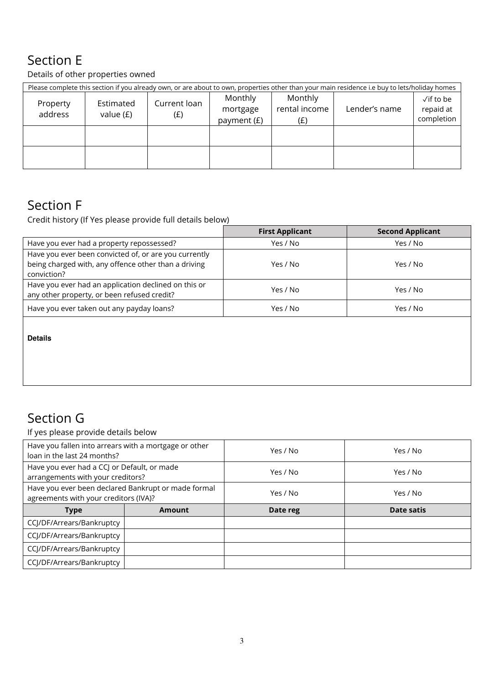# Section E

Details of other properties owned

| Please complete this section if you already own, or are about to own, properties other than your main residence i.e buy to lets/holiday homes |                          |                     |                                    |                                 |               |                                               |  |  |
|-----------------------------------------------------------------------------------------------------------------------------------------------|--------------------------|---------------------|------------------------------------|---------------------------------|---------------|-----------------------------------------------|--|--|
| Property<br>address                                                                                                                           | Estimated<br>value $(E)$ | Current loan<br>(E) | Monthly<br>mortgage<br>payment (£) | Monthly<br>rental income<br>(f) | Lender's name | $\sqrt{}$ if to be<br>repaid at<br>completion |  |  |
|                                                                                                                                               |                          |                     |                                    |                                 |               |                                               |  |  |
|                                                                                                                                               |                          |                     |                                    |                                 |               |                                               |  |  |

## Section F

Credit history (If Yes please provide full details below)

|                                                                                                                              | <b>First Applicant</b> | <b>Second Applicant</b> |
|------------------------------------------------------------------------------------------------------------------------------|------------------------|-------------------------|
| Have you ever had a property repossessed?                                                                                    | Yes / No               | Yes / No                |
| Have you ever been convicted of, or are you currently<br>being charged with, any offence other than a driving<br>conviction? | Yes / No               | Yes / No                |
| Have you ever had an application declined on this or<br>any other property, or been refused credit?                          | Yes / No               | Yes / No                |
| Have you ever taken out any payday loans?                                                                                    | Yes / No               | Yes / No                |

**Details**

# Section G

If yes please provide details below

| Have you fallen into arrears with a mortgage or other<br>loan in the last 24 months?         |        | Yes / No | Yes / No   |
|----------------------------------------------------------------------------------------------|--------|----------|------------|
| Have you ever had a CCJ or Default, or made<br>arrangements with your creditors?             |        | Yes / No | Yes / No   |
| Have you ever been declared Bankrupt or made formal<br>agreements with your creditors (IVA)? |        | Yes / No | Yes / No   |
|                                                                                              |        |          |            |
| <b>Type</b>                                                                                  | Amount | Date reg | Date satis |
| CCJ/DF/Arrears/Bankruptcy                                                                    |        |          |            |
| CCJ/DF/Arrears/Bankruptcy                                                                    |        |          |            |
| CCJ/DF/Arrears/Bankruptcy                                                                    |        |          |            |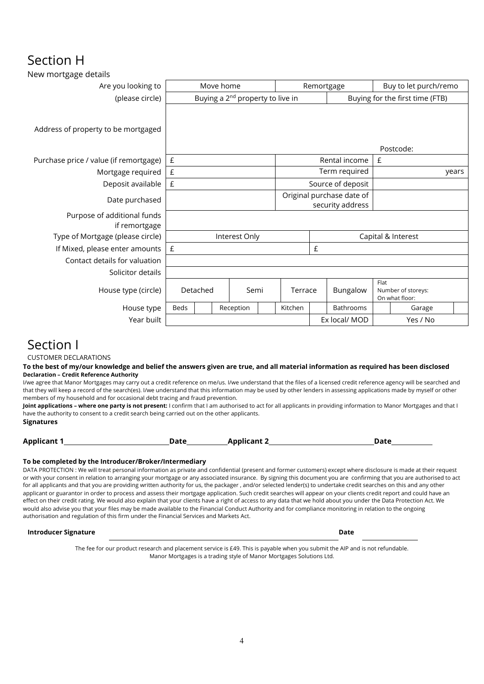### Section H

| New mortgage details                         |                                              |  |  |               |                                               |            |                                 |                       |                                      |       |  |
|----------------------------------------------|----------------------------------------------|--|--|---------------|-----------------------------------------------|------------|---------------------------------|-----------------------|--------------------------------------|-------|--|
| Are you looking to                           | Move home                                    |  |  |               |                                               | Remortgage |                                 | Buy to let purch/remo |                                      |       |  |
| (please circle)                              | Buying a 2 <sup>nd</sup> property to live in |  |  |               |                                               |            | Buying for the first time (FTB) |                       |                                      |       |  |
| Address of property to be mortgaged          |                                              |  |  |               |                                               |            |                                 |                       |                                      |       |  |
|                                              |                                              |  |  |               |                                               |            |                                 |                       | Postcode:                            |       |  |
| Purchase price / value (if remortgage)       | $\pounds$                                    |  |  |               |                                               |            | Rental income                   | £                     |                                      |       |  |
| Mortgage required                            | $\pmb{\mathsf{E}}$                           |  |  |               |                                               |            | Term required                   |                       |                                      | years |  |
| Deposit available                            | £                                            |  |  |               | Source of deposit                             |            |                                 |                       |                                      |       |  |
| Date purchased                               |                                              |  |  |               | Original purchase date of<br>security address |            |                                 |                       |                                      |       |  |
| Purpose of additional funds<br>if remortgage |                                              |  |  |               |                                               |            |                                 |                       |                                      |       |  |
| Type of Mortgage (please circle)             |                                              |  |  | Interest Only | Capital & Interest                            |            |                                 |                       |                                      |       |  |
| If Mixed, please enter amounts               | $\mathbf{f}$                                 |  |  |               | £                                             |            |                                 |                       |                                      |       |  |
| Contact details for valuation                |                                              |  |  |               |                                               |            |                                 |                       |                                      |       |  |
| Solicitor details                            |                                              |  |  |               |                                               |            |                                 |                       |                                      |       |  |
| House type (circle)                          | Detached                                     |  |  | Semi          | Terrace                                       |            | Bungalow                        | Flat                  | Number of storeys:<br>On what floor: |       |  |
| House type                                   | <b>Beds</b>                                  |  |  | Reception     | Kitchen                                       |            | Bathrooms                       |                       | Garage                               |       |  |
| Year built                                   |                                              |  |  |               |                                               |            | Ex local/ MOD                   |                       | Yes / No                             |       |  |
|                                              |                                              |  |  |               |                                               |            |                                 |                       |                                      |       |  |

### Section I

CUSTOMER DECLARATIONS

#### **To the best of my/our knowledge and belief the answers given are true, and all material information as required has been disclosed Declaration – Credit Reference Authority**

I/we agree that Manor Mortgages may carry out a credit reference on me/us. I/we understand that the files of a licensed credit reference agency will be searched and that they will keep a record of the search(es). I/we understand that this information may be used by other lenders in assessing applications made by myself or other members of my household and for occasional debt tracing and fraud prevention.

**Joint applications – where one party is not present:** I confirm that I am authorised to act for all applicants in providing information to Manor Mortgages and that I have the authority to consent to a credit search being carried out on the other applicants.

**Signatures** 

| <b>Applicant 1</b> | Date | <b>Applicant 2</b> | <b>Date</b> |
|--------------------|------|--------------------|-------------|
|                    |      |                    |             |

#### **To be completed by the Introducer/Broker/Intermediary**

DATA PROTECTION : We will treat personal information as private and confidential (present and former customers) except where disclosure is made at their request or with your consent in relation to arranging your mortgage or any associated insurance. By signing this document you are confirming that you are authorised to act for all applicants and that you are providing written authority for us, the packager , and/or selected lender(s) to undertake credit searches on this and any other applicant or guarantor in order to process and assess their mortgage application. Such credit searches will appear on your clients credit report and could have an effect on their credit rating. We would also explain that your clients have a right of access to any data that we hold about you under the Data Protection Act. We would also advise you that your files may be made available to the Financial Conduct Authority and for compliance monitoring in relation to the ongoing authorisation and regulation of this firm under the Financial Services and Markets Act.

#### **Introducer Signature Date**

The fee for our product research and placement service is £49. This is payable when you submit the AIP and is not refundable. Manor Mortgages is a trading style of Manor Mortgages Solutions Ltd.